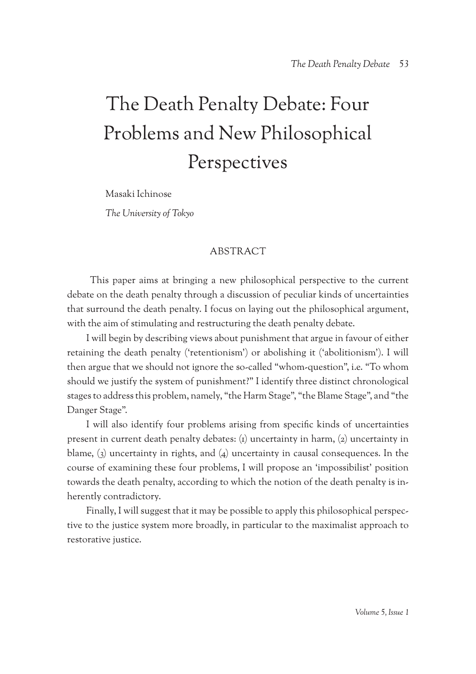# The Death Penalty Debate: Four Problems and New Philosophical Perspectives

Masaki Ichinose

*The University of Tokyo*

## **ABSTRACT**

 This paper aims at bringing a new philosophical perspective to the current debate on the death penalty through a discussion of peculiar kinds of uncertainties that surround the death penalty. I focus on laying out the philosophical argument, with the aim of stimulating and restructuring the death penalty debate.

I will begin by describing views about punishment that argue in favour of either retaining the death penalty ('retentionism') or abolishing it ('abolitionism'). I will then argue that we should not ignore the so-called "whom-question", i.e. "To whom should we justify the system of punishment?" I identify three distinct chronological stages to address this problem, namely, "the Harm Stage", "the Blame Stage", and "the Danger Stage".

I will also identify four problems arising from specific kinds of uncertainties present in current death penalty debates: (1) uncertainty in harm, (2) uncertainty in blame, (3) uncertainty in rights, and (4) uncertainty in causal consequences. In the course of examining these four problems, I will propose an 'impossibilist' position towards the death penalty, according to which the notion of the death penalty is inherently contradictory.

Finally, I will suggest that it may be possible to apply this philosophical perspective to the justice system more broadly, in particular to the maximalist approach to restorative justice.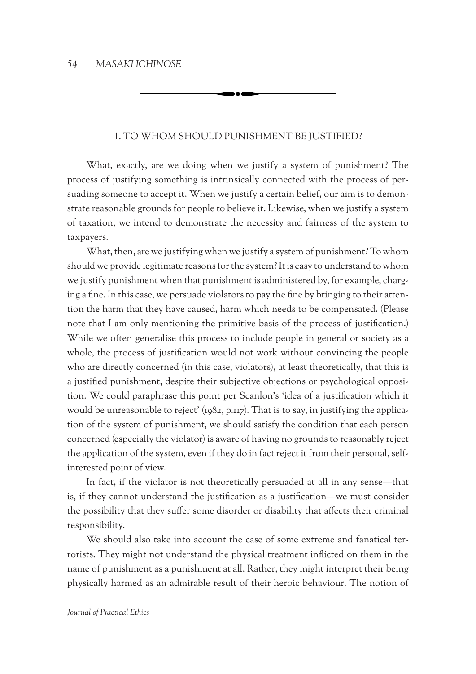## 1. To whom should punishment be justified?

What, exactly, are we doing when we justify a system of punishment? The process of justifying something is intrinsically connected with the process of persuading someone to accept it. When we justify a certain belief, our aim is to demonstrate reasonable grounds for people to believe it. Likewise, when we justify a system of taxation, we intend to demonstrate the necessity and fairness of the system to taxpayers.

What, then, are we justifying when we justify a system of punishment? To whom should we provide legitimate reasons for the system? It is easy to understand to whom we justify punishment when that punishment is administered by, for example, charging a fine. In this case, we persuade violators to pay the fine by bringing to their attention the harm that they have caused, harm which needs to be compensated. (Please note that I am only mentioning the primitive basis of the process of justification.) While we often generalise this process to include people in general or society as a whole, the process of justification would not work without convincing the people who are directly concerned (in this case, violators), at least theoretically, that this is a justified punishment, despite their subjective objections or psychological opposition. We could paraphrase this point per Scanlon's 'idea of a justification which it would be unreasonable to reject' (1982, p.117). That is to say, in justifying the application of the system of punishment, we should satisfy the condition that each person concerned (especially the violator) is aware of having no grounds to reasonably reject the application of the system, even if they do in fact reject it from their personal, selfinterested point of view.

In fact, if the violator is not theoretically persuaded at all in any sense—that is, if they cannot understand the justification as a justification—we must consider the possibility that they suffer some disorder or disability that affects their criminal responsibility.

We should also take into account the case of some extreme and fanatical terrorists. They might not understand the physical treatment inflicted on them in the name of punishment as a punishment at all. Rather, they might interpret their being physically harmed as an admirable result of their heroic behaviour. The notion of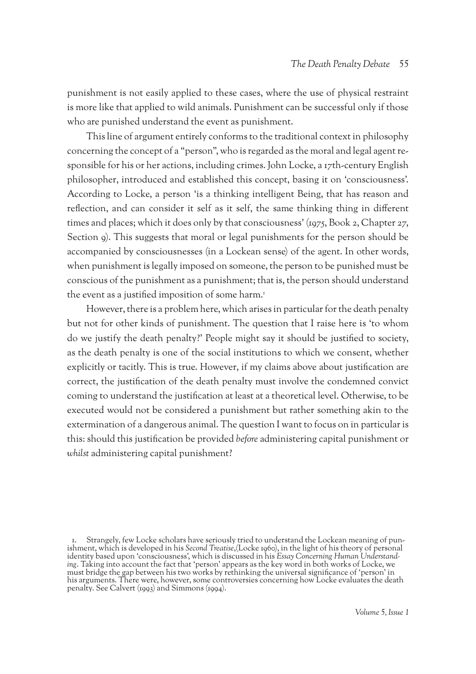punishment is not easily applied to these cases, where the use of physical restraint is more like that applied to wild animals. Punishment can be successful only if those who are punished understand the event as punishment.

This line of argument entirely conforms to the traditional context in philosophy concerning the concept of a "person", who is regarded as the moral and legal agent responsible for his or her actions, including crimes. John Locke, a 17th-century English philosopher, introduced and established this concept, basing it on 'consciousness'. According to Locke, a person 'is a thinking intelligent Being, that has reason and reflection, and can consider it self as it self, the same thinking thing in different times and places; which it does only by that consciousness' (1975, Book 2, Chapter 27, Section 9). This suggests that moral or legal punishments for the person should be accompanied by consciousnesses (in a Lockean sense) of the agent. In other words, when punishment is legally imposed on someone, the person to be punished must be conscious of the punishment as a punishment; that is, the person should understand the event as a justified imposition of some harm.<sup>1</sup>

However, there is a problem here, which arises in particular for the death penalty but not for other kinds of punishment. The question that I raise here is 'to whom do we justify the death penalty?' People might say it should be justified to society, as the death penalty is one of the social institutions to which we consent, whether explicitly or tacitly. This is true. However, if my claims above about justification are correct, the justification of the death penalty must involve the condemned convict coming to understand the justification at least at a theoretical level. Otherwise, to be executed would not be considered a punishment but rather something akin to the extermination of a dangerous animal. The question I want to focus on in particular is this: should this justification be provided *before* administering capital punishment or *whilst* administering capital punishment?

<sup>1.</sup> Strangely, few Locke scholars have seriously tried to understand the Lockean meaning of pun- ishment, which is developed in his *Second Treatise*,(Locke 1960), in the light of his theory of personal ing. Taking into account the fact that 'person' appears as the key word in both works of Locke, we must bridge the gap between his two works by rethinking the universal significance of 'person' in his arguments. There were, however, some controversies concerning how Locke evaluates the death penalty. See Calvert (1993) and Simmons (1994).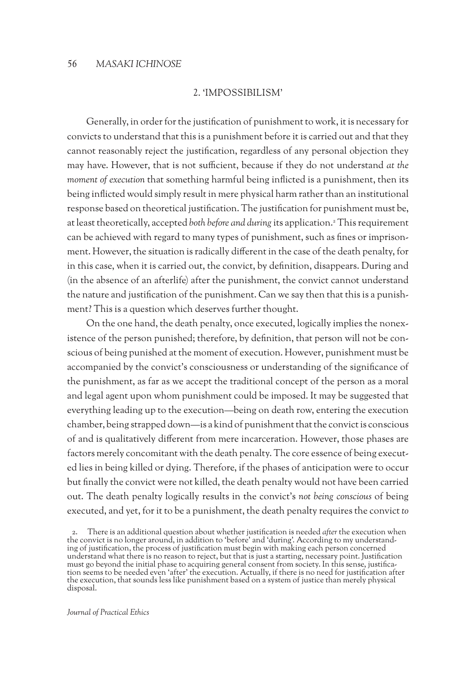### 2. 'Impossibilism'

Generally, in order for the justification of punishment to work, it is necessary for convicts to understand that this is a punishment before it is carried out and that they cannot reasonably reject the justification, regardless of any personal objection they may have. However, that is not sufficient, because if they do not understand *at the moment of execution that something harmful being inflicted is a punishment, then its* being inflicted would simply result in mere physical harm rather than an institutional response based on theoretical justification. The justification for punishment must be, at least theoretically, accepted *both before and during* its application.2 This requirement can be achieved with regard to many types of punishment, such as fines or imprisonment. However, the situation is radically different in the case of the death penalty, for in this case, when it is carried out, the convict, by definition, disappears. During and (in the absence of an afterlife) after the punishment, the convict cannot understand the nature and justification of the punishment. Can we say then that this is a punishment? This is a question which deserves further thought.

On the one hand, the death penalty, once executed, logically implies the nonexistence of the person punished; therefore, by definition, that person will not be conscious of being punished at the moment of execution. However, punishment must be accompanied by the convict's consciousness or understanding of the significance of the punishment, as far as we accept the traditional concept of the person as a moral and legal agent upon whom punishment could be imposed. It may be suggested that everything leading up to the execution—being on death row, entering the execution chamber, being strapped down—is a kind of punishment that the convict is conscious of and is qualitatively different from mere incarceration. However, those phases are factors merely concomitant with the death penalty. The core essence of being executed lies in being killed or dying. Therefore, if the phases of anticipation were to occur but finally the convict were not killed, the death penalty would not have been carried out. The death penalty logically results in the convict's *not being conscious* of being executed, and yet, for it to be a punishment, the death penalty requires the convict *to* 

2. There is an additional question about whether justification is needed *after* the execution when the convict is no longer around, in addition to 'before' and 'during'. According to my understand- ing of justification, the process of justification must begin with making each person concerned understand what there is no reason to reject, but that is just a starting, necessary point. Justification must go beyond the initial phase to acquiring general consent from society. In this sense, justifica- tion seems to be needed even 'after' the execution. Actually, if there is no need for justification after the execution, that sounds less like punishment based on a system of justice than merely physical disposal.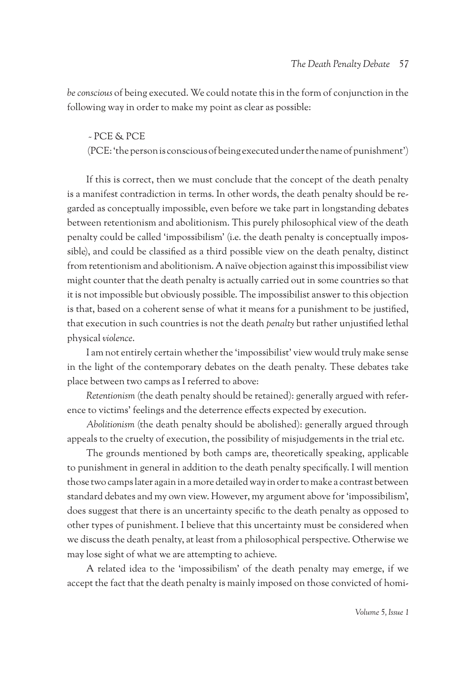*be conscious* of being executed. We could notate this in the form of conjunction in the following way in order to make my point as clear as possible:

## ~ PCE & PCE

(PCE: 'the person is conscious of being executed under the name of punishment')

If this is correct, then we must conclude that the concept of the death penalty is a manifest contradiction in terms. In other words, the death penalty should be regarded as conceptually impossible, even before we take part in longstanding debates between retentionism and abolitionism. This purely philosophical view of the death penalty could be called 'impossibilism' (i.e. the death penalty is conceptually impossible), and could be classified as a third possible view on the death penalty, distinct from retentionism and abolitionism. A naïve objection against this impossibilist view might counter that the death penalty is actually carried out in some countries so that it is not impossible but obviously possible. The impossibilist answer to this objection is that, based on a coherent sense of what it means for a punishment to be justified, that execution in such countries is not the death *penalty* but rather unjustified lethal physical *violence*.

I am not entirely certain whether the 'impossibilist' view would truly make sense in the light of the contemporary debates on the death penalty. These debates take place between two camps as I referred to above:

*Retentionism* (the death penalty should be retained): generally argued with reference to victims' feelings and the deterrence effects expected by execution.

*Abolitionism* (the death penalty should be abolished): generally argued through appeals to the cruelty of execution, the possibility of misjudgements in the trial etc.

The grounds mentioned by both camps are, theoretically speaking, applicable to punishment in general in addition to the death penalty specifically. I will mention those two camps later again in a more detailed way in order to make a contrast between standard debates and my own view. However, my argument above for 'impossibilism', does suggest that there is an uncertainty specific to the death penalty as opposed to other types of punishment. I believe that this uncertainty must be considered when we discuss the death penalty, at least from a philosophical perspective. Otherwise we may lose sight of what we are attempting to achieve.

A related idea to the 'impossibilism' of the death penalty may emerge, if we accept the fact that the death penalty is mainly imposed on those convicted of homi-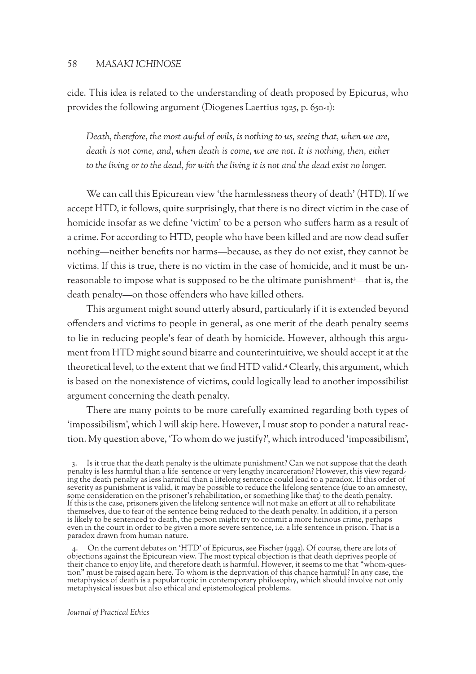cide. This idea is related to the understanding of death proposed by Epicurus, who provides the following argument (Diogenes Laertius 1925, p. 650-1):

*Death, therefore, the most awful of evils, is nothing to us, seeing that, when we are, death is not come, and, when death is come, we are not. It is nothing, then, either to the living or to the dead, for with the living it is not and the dead exist no longer.*

We can call this Epicurean view 'the harmlessness theory of death' (HTD). If we accept HTD, it follows, quite surprisingly, that there is no direct victim in the case of homicide insofar as we define 'victim' to be a person who suffers harm as a result of a crime. For according to HTD, people who have been killed and are now dead suffer nothing—neither benefits nor harms—because, as they do not exist, they cannot be victims. If this is true, there is no victim in the case of homicide, and it must be unreasonable to impose what is supposed to be the ultimate punishment<sup>3</sup>—that is, the death penalty—on those offenders who have killed others.

This argument might sound utterly absurd, particularly if it is extended beyond offenders and victims to people in general, as one merit of the death penalty seems to lie in reducing people's fear of death by homicide. However, although this argument from HTD might sound bizarre and counterintuitive, we should accept it at the theoretical level, to the extent that we find HTD valid.4 Clearly, this argument, which is based on the nonexistence of victims, could logically lead to another impossibilist argument concerning the death penalty.

There are many points to be more carefully examined regarding both types of 'impossibilism', which I will skip here. However, I must stop to ponder a natural reaction. My question above, 'To whom do we justify?', which introduced 'impossibilism',

<sup>3.</sup> Is it true that the death penalty is the ultimate punishment? Can we not suppose that the death penalty is less harmful than a life sentence or very lengthy incarceration? However, this view regarding the death penalty as less harmful than a lifelong sentence could lead to a paradox. If this order of severity as punishment is valid, it may be possible to reduce the lifelong sentence (due to an amnesty, some consideration on the prisoner's rehabilitation, or something like that) to the death penalty. If this is the case, prisoners given the lifelong sentence will not make an effort at all to rehabilitate themselves, due to fear of the sentence being reduced to the death penalty. In addition, if a person is likely to be sentenced to death, the person might try to commit a more heinous crime, perhaps even in the court in order to be given a more severe sentence, i.e. a life sentence in prison. That is a paradox drawn from human nature.

<sup>4.</sup> On the current debates on 'HTD' of Epicurus, see Fischer (1993). Of course, there are lots of objections against the Epicurean view. The most typical objection is that death deprives people of their chance to enjoy life, and therefore death is harmful. However, it seems to me that "whom-ques- tion" must be raised again here. To whom is the deprivation of this chance harmful? In any case, the metaphysics of death is a popular topic in contemporary philosophy, which should involve not only metaphysical issues but also ethical and epistemological problems.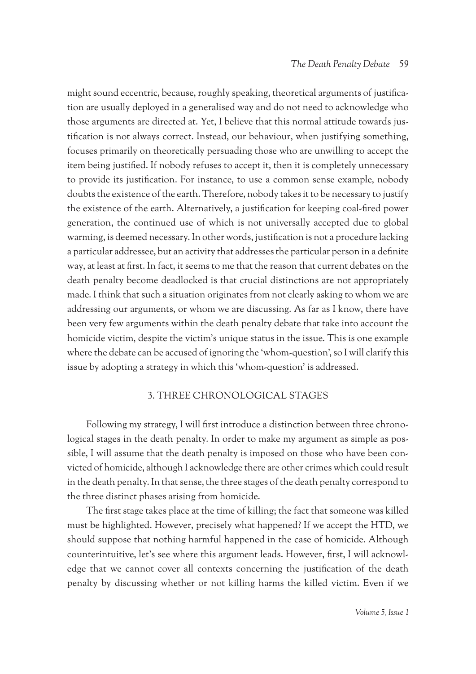might sound eccentric, because, roughly speaking, theoretical arguments of justification are usually deployed in a generalised way and do not need to acknowledge who those arguments are directed at. Yet, I believe that this normal attitude towards justification is not always correct. Instead, our behaviour, when justifying something, focuses primarily on theoretically persuading those who are unwilling to accept the item being justified. If nobody refuses to accept it, then it is completely unnecessary to provide its justification. For instance, to use a common sense example, nobody doubts the existence of the earth. Therefore, nobody takes it to be necessary to justify the existence of the earth. Alternatively, a justification for keeping coal-fired power generation, the continued use of which is not universally accepted due to global warming, is deemed necessary. In other words, justification is not a procedure lacking a particular addressee, but an activity that addresses the particular person in a definite way, at least at first. In fact, it seems to me that the reason that current debates on the death penalty become deadlocked is that crucial distinctions are not appropriately made. I think that such a situation originates from not clearly asking to whom we are addressing our arguments, or whom we are discussing. As far as I know, there have been very few arguments within the death penalty debate that take into account the homicide victim, despite the victim's unique status in the issue. This is one example where the debate can be accused of ignoring the 'whom-question', so I will clarify this issue by adopting a strategy in which this 'whom-question' is addressed.

## 3. Three chronological stages

Following my strategy, I will first introduce a distinction between three chronological stages in the death penalty. In order to make my argument as simple as possible, I will assume that the death penalty is imposed on those who have been convicted of homicide, although I acknowledge there are other crimes which could result in the death penalty. In that sense, the three stages of the death penalty correspond to the three distinct phases arising from homicide.

The first stage takes place at the time of killing; the fact that someone was killed must be highlighted. However, precisely what happened? If we accept the HTD, we should suppose that nothing harmful happened in the case of homicide. Although counterintuitive, let's see where this argument leads. However, first, I will acknowledge that we cannot cover all contexts concerning the justification of the death penalty by discussing whether or not killing harms the killed victim. Even if we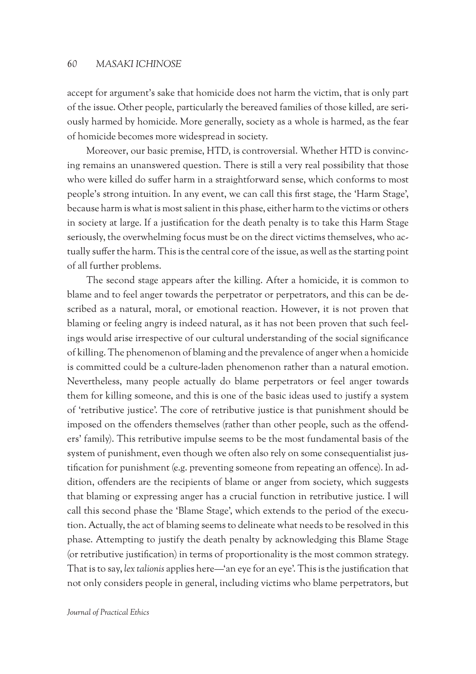accept for argument's sake that homicide does not harm the victim, that is only part of the issue. Other people, particularly the bereaved families of those killed, are seriously harmed by homicide. More generally, society as a whole is harmed, as the fear of homicide becomes more widespread in society.

Moreover, our basic premise, HTD, is controversial. Whether HTD is convincing remains an unanswered question. There is still a very real possibility that those who were killed do suffer harm in a straightforward sense, which conforms to most people's strong intuition. In any event, we can call this first stage, the 'Harm Stage', because harm is what is most salient in this phase, either harm to the victims or others in society at large. If a justification for the death penalty is to take this Harm Stage seriously, the overwhelming focus must be on the direct victims themselves, who actually suffer the harm. This is the central core of the issue, as well as the starting point of all further problems.

The second stage appears after the killing. After a homicide, it is common to blame and to feel anger towards the perpetrator or perpetrators, and this can be described as a natural, moral, or emotional reaction. However, it is not proven that blaming or feeling angry is indeed natural, as it has not been proven that such feelings would arise irrespective of our cultural understanding of the social significance of killing. The phenomenon of blaming and the prevalence of anger when a homicide is committed could be a culture-laden phenomenon rather than a natural emotion. Nevertheless, many people actually do blame perpetrators or feel anger towards them for killing someone, and this is one of the basic ideas used to justify a system of 'retributive justice'. The core of retributive justice is that punishment should be imposed on the offenders themselves (rather than other people, such as the offenders' family). This retributive impulse seems to be the most fundamental basis of the system of punishment, even though we often also rely on some consequentialist justification for punishment (e.g. preventing someone from repeating an offence). In addition, offenders are the recipients of blame or anger from society, which suggests that blaming or expressing anger has a crucial function in retributive justice. I will call this second phase the 'Blame Stage', which extends to the period of the execution. Actually, the act of blaming seems to delineate what needs to be resolved in this phase. Attempting to justify the death penalty by acknowledging this Blame Stage (or retributive justification) in terms of proportionality is the most common strategy. That is to say, *lex talionis* applies here—'an eye for an eye'. This is the justification that not only considers people in general, including victims who blame perpetrators, but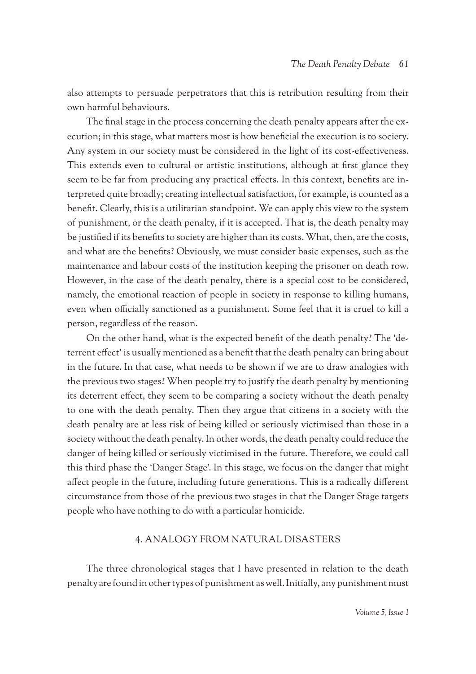also attempts to persuade perpetrators that this is retribution resulting from their own harmful behaviours.

The final stage in the process concerning the death penalty appears after the execution; in this stage, what matters most is how beneficial the execution is to society. Any system in our society must be considered in the light of its cost-effectiveness. This extends even to cultural or artistic institutions, although at first glance they seem to be far from producing any practical effects. In this context, benefits are interpreted quite broadly; creating intellectual satisfaction, for example, is counted as a benefit. Clearly, this is a utilitarian standpoint. We can apply this view to the system of punishment, or the death penalty, if it is accepted. That is, the death penalty may be justified if its benefits to society are higher than its costs. What, then, are the costs, and what are the benefits? Obviously, we must consider basic expenses, such as the maintenance and labour costs of the institution keeping the prisoner on death row. However, in the case of the death penalty, there is a special cost to be considered, namely, the emotional reaction of people in society in response to killing humans, even when officially sanctioned as a punishment. Some feel that it is cruel to kill a person, regardless of the reason.

On the other hand, what is the expected benefit of the death penalty? The 'deterrent effect' is usually mentioned as a benefit that the death penalty can bring about in the future. In that case, what needs to be shown if we are to draw analogies with the previous two stages? When people try to justify the death penalty by mentioning its deterrent effect, they seem to be comparing a society without the death penalty to one with the death penalty. Then they argue that citizens in a society with the death penalty are at less risk of being killed or seriously victimised than those in a society without the death penalty. In other words, the death penalty could reduce the danger of being killed or seriously victimised in the future. Therefore, we could call this third phase the 'Danger Stage'. In this stage, we focus on the danger that might affect people in the future, including future generations. This is a radically different circumstance from those of the previous two stages in that the Danger Stage targets people who have nothing to do with a particular homicide.

## 4. Analogy from natural disasters

The three chronological stages that I have presented in relation to the death penalty are found in other types of punishment as well. Initially, any punishment must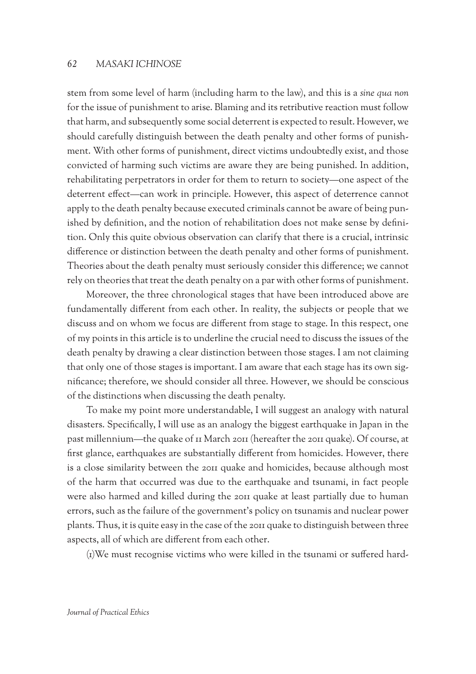stem from some level of harm (including harm to the law), and this is a *sine qua non* for the issue of punishment to arise. Blaming and its retributive reaction must follow that harm, and subsequently some social deterrent is expected to result. However, we should carefully distinguish between the death penalty and other forms of punishment. With other forms of punishment, direct victims undoubtedly exist, and those convicted of harming such victims are aware they are being punished. In addition, rehabilitating perpetrators in order for them to return to society—one aspect of the deterrent effect—can work in principle. However, this aspect of deterrence cannot apply to the death penalty because executed criminals cannot be aware of being punished by definition, and the notion of rehabilitation does not make sense by definition. Only this quite obvious observation can clarify that there is a crucial, intrinsic difference or distinction between the death penalty and other forms of punishment. Theories about the death penalty must seriously consider this difference; we cannot rely on theories that treat the death penalty on a par with other forms of punishment.

Moreover, the three chronological stages that have been introduced above are fundamentally different from each other. In reality, the subjects or people that we discuss and on whom we focus are different from stage to stage. In this respect, one of my points in this article is to underline the crucial need to discuss the issues of the death penalty by drawing a clear distinction between those stages. I am not claiming that only one of those stages is important. I am aware that each stage has its own significance; therefore, we should consider all three. However, we should be conscious of the distinctions when discussing the death penalty.

To make my point more understandable, I will suggest an analogy with natural disasters. Specifically, I will use as an analogy the biggest earthquake in Japan in the past millennium—the quake of 11 March 2011 (hereafter the 2011 quake). Of course, at first glance, earthquakes are substantially different from homicides. However, there is a close similarity between the 2011 quake and homicides, because although most of the harm that occurred was due to the earthquake and tsunami, in fact people were also harmed and killed during the 2011 quake at least partially due to human errors, such as the failure of the government's policy on tsunamis and nuclear power plants. Thus, it is quite easy in the case of the 2011 quake to distinguish between three aspects, all of which are different from each other.

(1)We must recognise victims who were killed in the tsunami or suffered hard-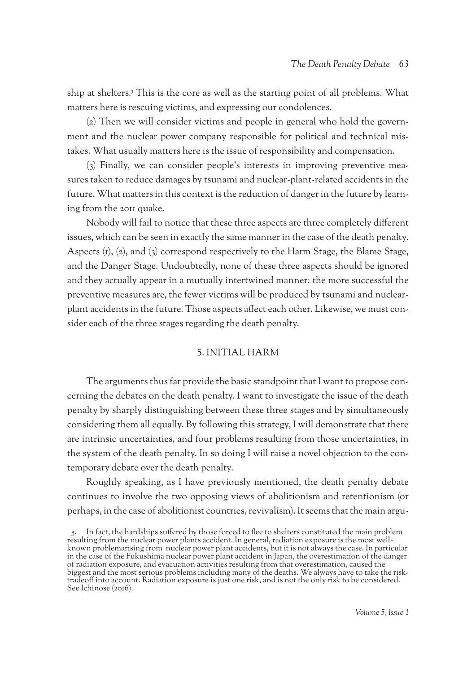ship at shelters.5 This is the core as well as the starting point of all problems. What matters here is rescuing victims, and expressing our condolences.

(2) Then we will consider victims and people in general who hold the government and the nuclear power company responsible for political and technical mistakes. What usually matters here is the issue of responsibility and compensation.

(3) Finally, we can consider people's interests in improving preventive measures taken to reduce damages by tsunami and nuclear-plant-related accidents in the future. What matters in this context is the reduction of danger in the future by learning from the 2011 quake.

Nobody will fail to notice that these three aspects are three completely different issues, which can be seen in exactly the same manner in the case of the death penalty. Aspects  $(i)$ ,  $(2)$ , and  $(3)$  correspond respectively to the Harm Stage, the Blame Stage, and the Danger Stage. Undoubtedly, none of these three aspects should be ignored and they actually appear in a mutually intertwined manner: the more successful the preventive measures are, the fewer victims will be produced by tsunami and nuclearplant accidents in the future. Those aspects affect each other. Likewise, we must consider each of the three stages regarding the death penalty.

## 5. Initial harm

The arguments thus far provide the basic standpoint that I want to propose concerning the debates on the death penalty. I want to investigate the issue of the death penalty by sharply distinguishing between these three stages and by simultaneously considering them all equally. By following this strategy, I will demonstrate that there are intrinsic uncertainties, and four problems resulting from those uncertainties, in the system of the death penalty. In so doing I will raise a novel objection to the contemporary debate over the death penalty.

Roughly speaking, as I have previously mentioned, the death penalty debate continues to involve the two opposing views of abolitionism and retentionism (or perhaps, in the case of abolitionist countries, revivalism). It seems that the main argu-

<sup>5.</sup> In fact, the hardships suffered by those forced to flee to shelters constituted the main problem resulting from the nuclear power plants accident. In general, radiation exposure is the most wellknown problemarising from nuclear power plant accidents, but it is not always the case. In particular in the case of the Fukushima nuclear power plant accident in Japan, the overestimation of the danger of radiation exposure, and evacuation activities resulting from that overestimation, caused the biggest and the most serious problems including many of the deaths. We always have to take the risktradeoff into account. Radiation exposure is just one risk, and is not the only risk to be considered. See Ichinose (2016).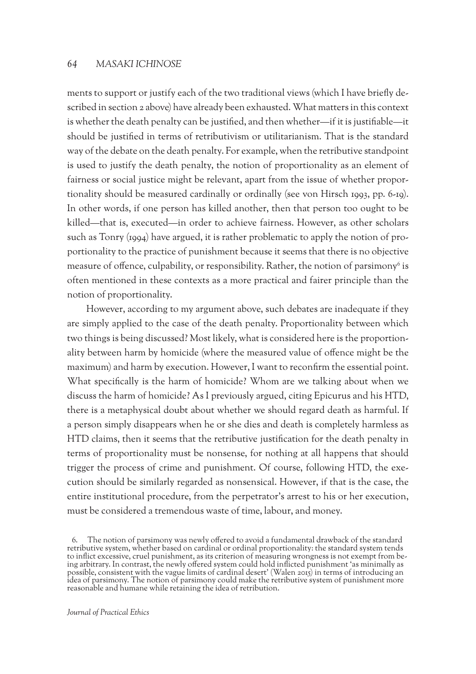ments to support or justify each of the two traditional views (which I have briefly described in section 2 above) have already been exhausted. What matters in this context is whether the death penalty can be justified, and then whether—if it is justifiable—it should be justified in terms of retributivism or utilitarianism. That is the standard way of the debate on the death penalty. For example, when the retributive standpoint is used to justify the death penalty, the notion of proportionality as an element of fairness or social justice might be relevant, apart from the issue of whether proportionality should be measured cardinally or ordinally (see von Hirsch 1993, pp. 6-19). In other words, if one person has killed another, then that person too ought to be killed—that is, executed—in order to achieve fairness. However, as other scholars such as Tonry (1994) have argued, it is rather problematic to apply the notion of proportionality to the practice of punishment because it seems that there is no objective measure of offence, culpability, or responsibility. Rather, the notion of parsimony $\delta$  is often mentioned in these contexts as a more practical and fairer principle than the notion of proportionality.

However, according to my argument above, such debates are inadequate if they are simply applied to the case of the death penalty. Proportionality between which two things is being discussed? Most likely, what is considered here is the proportionality between harm by homicide (where the measured value of offence might be the maximum) and harm by execution. However, I want to reconfirm the essential point. What specifically is the harm of homicide? Whom are we talking about when we discuss the harm of homicide? As I previously argued, citing Epicurus and his HTD, there is a metaphysical doubt about whether we should regard death as harmful. If a person simply disappears when he or she dies and death is completely harmless as HTD claims, then it seems that the retributive justification for the death penalty in terms of proportionality must be nonsense, for nothing at all happens that should trigger the process of crime and punishment. Of course, following HTD, the execution should be similarly regarded as nonsensical. However, if that is the case, the entire institutional procedure, from the perpetrator's arrest to his or her execution, must be considered a tremendous waste of time, labour, and money.

<sup>6.</sup> The notion of parsimony was newly offered to avoid a fundamental drawback of the standard retributive system, whether based on cardinal or ordinal proportionality: the standard system tends to inflict excessive, cruel punishment, as its criterion of measuring wrongness is not exempt from be- ing arbitrary. In contrast, the newly offered system could hold inflicted punishment 'as minimally as possible, consistent with the vague limits of cardinal desert' (Walen 2015) in terms of introducing an idea of parsimony. The notion of parsimony could make the retributive system of punishment more reasonable and humane while retaining the idea of retribution.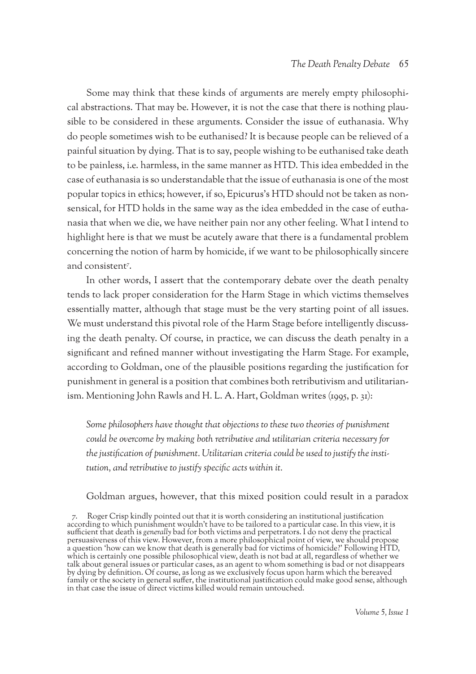Some may think that these kinds of arguments are merely empty philosophical abstractions. That may be. However, it is not the case that there is nothing plausible to be considered in these arguments. Consider the issue of euthanasia. Why do people sometimes wish to be euthanised? It is because people can be relieved of a painful situation by dying. That is to say, people wishing to be euthanised take death to be painless, i.e. harmless, in the same manner as HTD. This idea embedded in the case of euthanasia is so understandable that the issue of euthanasia is one of the most popular topics in ethics; however, if so, Epicurus's HTD should not be taken as nonsensical, for HTD holds in the same way as the idea embedded in the case of euthanasia that when we die, we have neither pain nor any other feeling. What I intend to highlight here is that we must be acutely aware that there is a fundamental problem concerning the notion of harm by homicide, if we want to be philosophically sincere and consistent7 .

In other words, I assert that the contemporary debate over the death penalty tends to lack proper consideration for the Harm Stage in which victims themselves essentially matter, although that stage must be the very starting point of all issues. We must understand this pivotal role of the Harm Stage before intelligently discussing the death penalty. Of course, in practice, we can discuss the death penalty in a significant and refined manner without investigating the Harm Stage. For example, according to Goldman, one of the plausible positions regarding the justification for punishment in general is a position that combines both retributivism and utilitarianism. Mentioning John Rawls and H. L. A. Hart, Goldman writes (1995, p. 31):

*Some philosophers have thought that objections to these two theories of punishment could be overcome by making both retributive and utilitarian criteria necessary for the justification of punishment. Utilitarian criteria could be used to justify the institution, and retributive to justify specific acts within it.*

Goldman argues, however, that this mixed position could result in a paradox

7. Roger Crisp kindly pointed out that it is worth considering an institutional justification according to which punishment wouldn't have to be tailored to a particular case. In this view, it is sufficient that death is *generally* bad for both victims and perpetrators. I do not deny the practical persuasiveness of this view. However, from a more philosophical point of view, we should propose a question 'how can we know that death is generally bad for victims of homicide?' Following HTD, which is certainly one possible philosophical view, death is not bad at all, regardless of whether we talk about general issues or particular cases, as an agent to whom something is bad or not disappears by dying by definition. Of course, as long as we exclusively focus upon harm which the bereaved family or the society in general suffer, the institutional justification could make good sense, although in that case the issue of direct victims killed would remain untouched.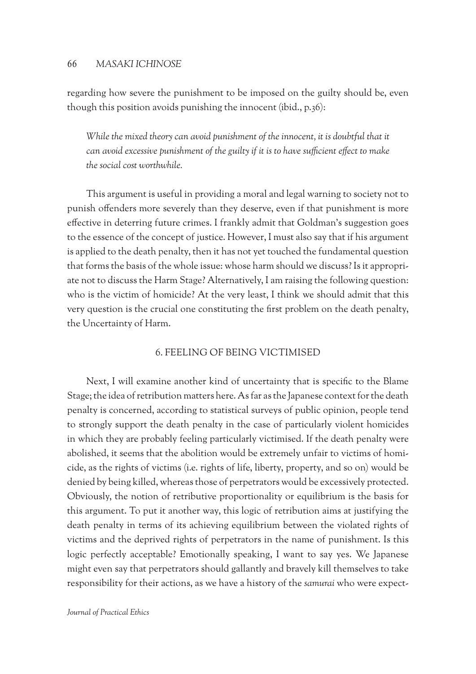regarding how severe the punishment to be imposed on the guilty should be, even though this position avoids punishing the innocent (ibid., p.36):

*While the mixed theory can avoid punishment of the innocent, it is doubtful that it can avoid excessive punishment of the guilty if it is to have sufficient effect to make the social cost worthwhile.*

This argument is useful in providing a moral and legal warning to society not to punish offenders more severely than they deserve, even if that punishment is more effective in deterring future crimes. I frankly admit that Goldman's suggestion goes to the essence of the concept of justice. However, I must also say that if his argument is applied to the death penalty, then it has not yet touched the fundamental question that forms the basis of the whole issue: whose harm should we discuss? Is it appropriate not to discuss the Harm Stage? Alternatively, I am raising the following question: who is the victim of homicide? At the very least, I think we should admit that this very question is the crucial one constituting the first problem on the death penalty, the Uncertainty of Harm.

### 6. Feeling of being victimised

Next, I will examine another kind of uncertainty that is specific to the Blame Stage; the idea of retribution matters here. As far as the Japanese context for the death penalty is concerned, according to statistical surveys of public opinion, people tend to strongly support the death penalty in the case of particularly violent homicides in which they are probably feeling particularly victimised. If the death penalty were abolished, it seems that the abolition would be extremely unfair to victims of homicide, as the rights of victims (i.e. rights of life, liberty, property, and so on) would be denied by being killed, whereas those of perpetrators would be excessively protected. Obviously, the notion of retributive proportionality or equilibrium is the basis for this argument. To put it another way, this logic of retribution aims at justifying the death penalty in terms of its achieving equilibrium between the violated rights of victims and the deprived rights of perpetrators in the name of punishment. Is this logic perfectly acceptable? Emotionally speaking, I want to say yes. We Japanese might even say that perpetrators should gallantly and bravely kill themselves to take responsibility for their actions, as we have a history of the *samurai* who were expect-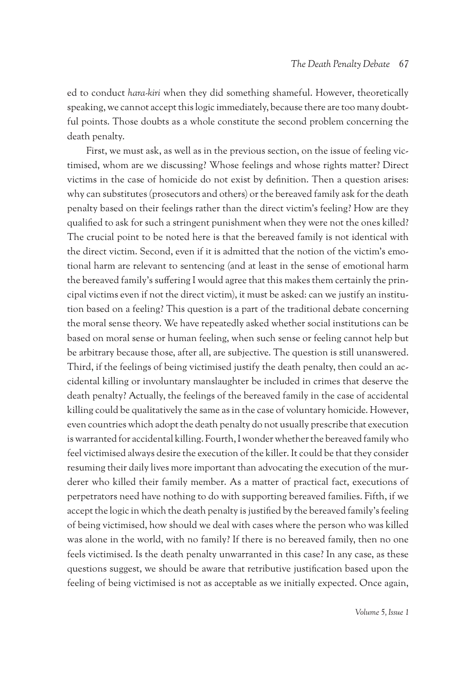ed to conduct *hara-kiri* when they did something shameful. However, theoretically speaking, we cannot accept this logic immediately, because there are too many doubtful points. Those doubts as a whole constitute the second problem concerning the death penalty.

First, we must ask, as well as in the previous section, on the issue of feeling victimised, whom are we discussing? Whose feelings and whose rights matter? Direct victims in the case of homicide do not exist by definition. Then a question arises: why can substitutes (prosecutors and others) or the bereaved family ask for the death penalty based on their feelings rather than the direct victim's feeling? How are they qualified to ask for such a stringent punishment when they were not the ones killed? The crucial point to be noted here is that the bereaved family is not identical with the direct victim. Second, even if it is admitted that the notion of the victim's emotional harm are relevant to sentencing (and at least in the sense of emotional harm the bereaved family's suffering I would agree that this makes them certainly the principal victims even if not the direct victim), it must be asked: can we justify an institution based on a feeling? This question is a part of the traditional debate concerning the moral sense theory. We have repeatedly asked whether social institutions can be based on moral sense or human feeling, when such sense or feeling cannot help but be arbitrary because those, after all, are subjective. The question is still unanswered. Third, if the feelings of being victimised justify the death penalty, then could an accidental killing or involuntary manslaughter be included in crimes that deserve the death penalty? Actually, the feelings of the bereaved family in the case of accidental killing could be qualitatively the same as in the case of voluntary homicide. However, even countries which adopt the death penalty do not usually prescribe that execution is warranted for accidental killing. Fourth, I wonder whether the bereaved family who feel victimised always desire the execution of the killer. It could be that they consider resuming their daily lives more important than advocating the execution of the murderer who killed their family member. As a matter of practical fact, executions of perpetrators need have nothing to do with supporting bereaved families. Fifth, if we accept the logic in which the death penalty is justified by the bereaved family's feeling of being victimised, how should we deal with cases where the person who was killed was alone in the world, with no family? If there is no bereaved family, then no one feels victimised. Is the death penalty unwarranted in this case? In any case, as these questions suggest, we should be aware that retributive justification based upon the feeling of being victimised is not as acceptable as we initially expected. Once again,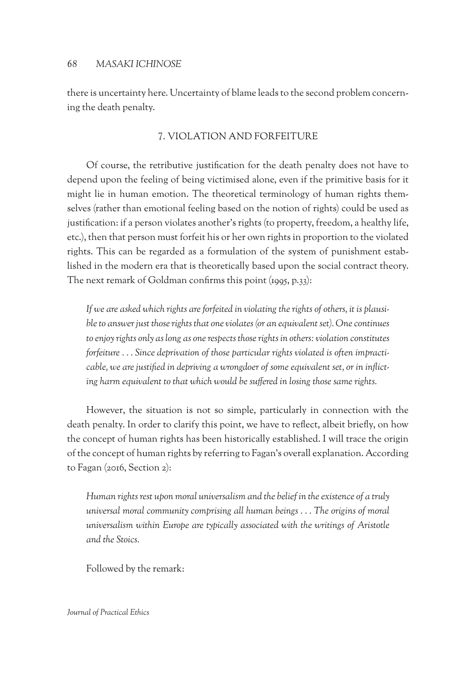there is uncertainty here. Uncertainty of blame leads to the second problem concerning the death penalty.

## 7. Violation and forfeiture

Of course, the retributive justification for the death penalty does not have to depend upon the feeling of being victimised alone, even if the primitive basis for it might lie in human emotion. The theoretical terminology of human rights themselves (rather than emotional feeling based on the notion of rights) could be used as justification: if a person violates another's rights (to property, freedom, a healthy life, etc.), then that person must forfeit his or her own rights in proportion to the violated rights. This can be regarded as a formulation of the system of punishment established in the modern era that is theoretically based upon the social contract theory. The next remark of Goldman confirms this point (1995, p.33):

*If we are asked which rights are forfeited in violating the rights of others, it is plausible to answer just those rights that one violates (or an equivalent set). One continues to enjoy rights only as long as one respects those rights in others: violation constitutes forfeiture . . . Since deprivation of those particular rights violated is often impracticable, we are justified in depriving a wrongdoer of some equivalent set, or in inflicting harm equivalent to that which would be suffered in losing those same rights.*

However, the situation is not so simple, particularly in connection with the death penalty. In order to clarify this point, we have to reflect, albeit briefly, on how the concept of human rights has been historically established. I will trace the origin of the concept of human rights by referring to Fagan's overall explanation. According to Fagan (2016, Section 2):

*Human rights rest upon moral universalism and the belief in the existence of a truly universal moral community comprising all human beings . . . The origins of moral universalism within Europe are typically associated with the writings of Aristotle and the Stoics.*

Followed by the remark: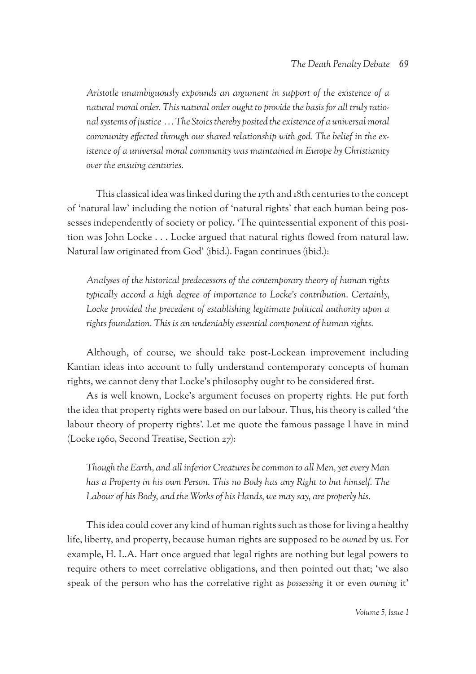*Aristotle unambiguously expounds an argument in support of the existence of a natural moral order. This natural order ought to provide the basis for all truly rational systems of justice . . . The Stoics thereby posited the existence of a universal moral community effected through our shared relationship with god. The belief in the existence of a universal moral community was maintained in Europe by Christianity over the ensuing centuries.*

This classical idea was linked during the 17th and 18th centuries to the concept of 'natural law' including the notion of 'natural rights' that each human being possesses independently of society or policy. 'The quintessential exponent of this position was John Locke . . . Locke argued that natural rights flowed from natural law. Natural law originated from God' (ibid.). Fagan continues (ibid.):

*Analyses of the historical predecessors of the contemporary theory of human rights typically accord a high degree of importance to Locke's contribution. Certainly,*  Locke provided the precedent of establishing legitimate political authority upon a *rights foundation. This is an undeniably essential component of human rights.*

Although, of course, we should take post-Lockean improvement including Kantian ideas into account to fully understand contemporary concepts of human rights, we cannot deny that Locke's philosophy ought to be considered first.

As is well known, Locke's argument focuses on property rights. He put forth the idea that property rights were based on our labour. Thus, his theory is called 'the labour theory of property rights'. Let me quote the famous passage I have in mind (Locke 1960, Second Treatise, Section 27):

*Though the Earth, and all inferior Creatures be common to all Men, yet every Man has a Property in his own Person. This no Body has any Right to but himself. The Labour of his Body, and the Works of his Hands, we may say, are properly his.*

This idea could cover any kind of human rights such as those for living a healthy life, liberty, and property, because human rights are supposed to be *owned* by us. For example, H. L.A. Hart once argued that legal rights are nothing but legal powers to require others to meet correlative obligations, and then pointed out that; 'we also speak of the person who has the correlative right as *possessing* it or even *owning* it'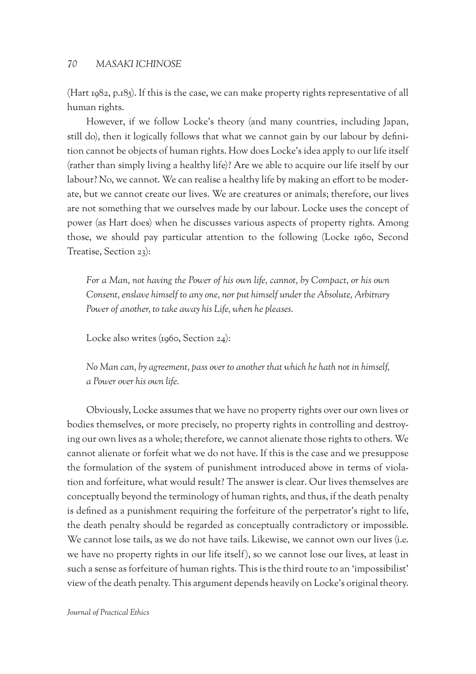(Hart 1982, p.185). If this is the case, we can make property rights representative of all human rights.

However, if we follow Locke's theory (and many countries, including Japan, still do), then it logically follows that what we cannot gain by our labour by definition cannot be objects of human rights. How does Locke's idea apply to our life itself (rather than simply living a healthy life)? Are we able to acquire our life itself by our labour? No, we cannot. We can realise a healthy life by making an effort to be moderate, but we cannot create our lives. We are creatures or animals; therefore, our lives are not something that we ourselves made by our labour. Locke uses the concept of power (as Hart does) when he discusses various aspects of property rights. Among those, we should pay particular attention to the following (Locke 1960, Second Treatise, Section 23):

*For a Man, not having the Power of his own life, cannot, by Compact, or his own Consent, enslave himself to any one, nor put himself under the Absolute, Arbitrary Power of another, to take away his Life, when he pleases.*

Locke also writes (1960, Section 24):

*No Man can, by agreement, pass over to another that which he hath not in himself, a Power over his own life.*

Obviously, Locke assumes that we have no property rights over our own lives or bodies themselves, or more precisely, no property rights in controlling and destroying our own lives as a whole; therefore, we cannot alienate those rights to others. We cannot alienate or forfeit what we do not have. If this is the case and we presuppose the formulation of the system of punishment introduced above in terms of violation and forfeiture, what would result? The answer is clear. Our lives themselves are conceptually beyond the terminology of human rights, and thus, if the death penalty is defined as a punishment requiring the forfeiture of the perpetrator's right to life, the death penalty should be regarded as conceptually contradictory or impossible. We cannot lose tails, as we do not have tails. Likewise, we cannot own our lives (i.e. we have no property rights in our life itself), so we cannot lose our lives, at least in such a sense as forfeiture of human rights. This is the third route to an 'impossibilist' view of the death penalty. This argument depends heavily on Locke's original theory.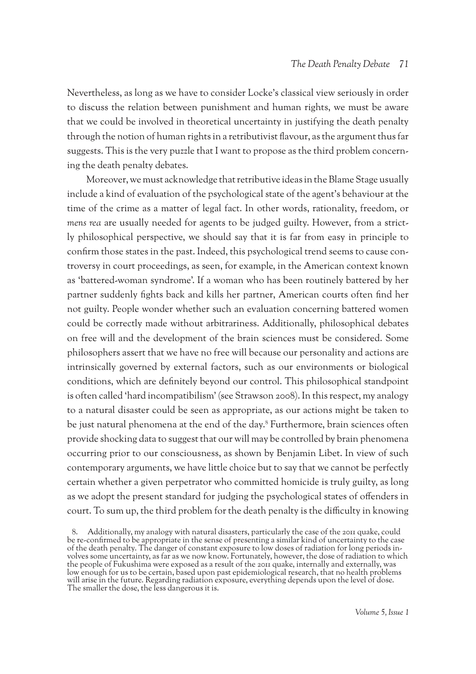Nevertheless, as long as we have to consider Locke's classical view seriously in order to discuss the relation between punishment and human rights, we must be aware that we could be involved in theoretical uncertainty in justifying the death penalty through the notion of human rights in a retributivist flavour, as the argument thus far suggests. This is the very puzzle that I want to propose as the third problem concerning the death penalty debates.

Moreover, we must acknowledge that retributive ideas in the Blame Stage usually include a kind of evaluation of the psychological state of the agent's behaviour at the time of the crime as a matter of legal fact. In other words, rationality, freedom, or *mens rea* are usually needed for agents to be judged guilty. However, from a strictly philosophical perspective, we should say that it is far from easy in principle to confirm those states in the past. Indeed, this psychological trend seems to cause controversy in court proceedings, as seen, for example, in the American context known as 'battered-woman syndrome'. If a woman who has been routinely battered by her partner suddenly fights back and kills her partner, American courts often find her not guilty. People wonder whether such an evaluation concerning battered women could be correctly made without arbitrariness. Additionally, philosophical debates on free will and the development of the brain sciences must be considered. Some philosophers assert that we have no free will because our personality and actions are intrinsically governed by external factors, such as our environments or biological conditions, which are definitely beyond our control. This philosophical standpoint is often called 'hard incompatibilism' (see Strawson 2008). In this respect, my analogy to a natural disaster could be seen as appropriate, as our actions might be taken to be just natural phenomena at the end of the day.8 Furthermore, brain sciences often provide shocking data to suggest that our will may be controlled by brain phenomena occurring prior to our consciousness, as shown by Benjamin Libet. In view of such contemporary arguments, we have little choice but to say that we cannot be perfectly certain whether a given perpetrator who committed homicide is truly guilty, as long as we adopt the present standard for judging the psychological states of offenders in court. To sum up, the third problem for the death penalty is the difficulty in knowing

Additionally, my analogy with natural disasters, particularly the case of the 2011 quake, could be re-confirmed to be appropriate in the sense of presenting a similar kind of uncertainty to the case of the death penalty. The danger of constant exposure to low doses of radiation for long periods in- volves some uncertainty, as far as we now know. Fortunately, however, the dose of radiation to which the people of Fukushima were exposed as a result of the 2011 quake, internally and externally, was low enough for us to be certain, based upon past epidemiological research, that no health problems will arise in the future. Regarding radiation exposure, everything depends upon the level of dose. The smaller the dose, the less dangerous it is.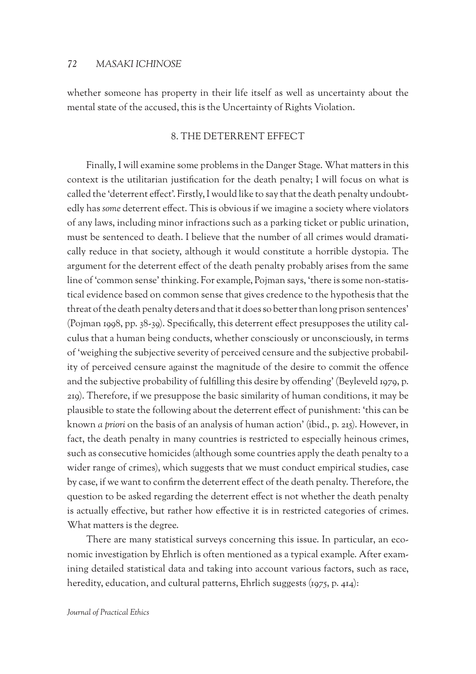whether someone has property in their life itself as well as uncertainty about the mental state of the accused, this is the Uncertainty of Rights Violation.

## 8. The deterrent effect

Finally, I will examine some problems in the Danger Stage. What matters in this context is the utilitarian justification for the death penalty; I will focus on what is called the 'deterrent effect'. Firstly, I would like to say that the death penalty undoubtedly has *some* deterrent effect. This is obvious if we imagine a society where violators of any laws, including minor infractions such as a parking ticket or public urination, must be sentenced to death. I believe that the number of all crimes would dramatically reduce in that society, although it would constitute a horrible dystopia. The argument for the deterrent effect of the death penalty probably arises from the same line of 'common sense' thinking. For example, Pojman says, 'there is some non-statistical evidence based on common sense that gives credence to the hypothesis that the threat of the death penalty deters and that it does so better than long prison sentences' (Pojman 1998, pp. 38-39). Specifically, this deterrent effect presupposes the utility calculus that a human being conducts, whether consciously or unconsciously, in terms of 'weighing the subjective severity of perceived censure and the subjective probability of perceived censure against the magnitude of the desire to commit the offence and the subjective probability of fulfilling this desire by offending' (Beyleveld 1979, p. 219). Therefore, if we presuppose the basic similarity of human conditions, it may be plausible to state the following about the deterrent effect of punishment: 'this can be known *a priori* on the basis of an analysis of human action' (ibid., p. 215). However, in fact, the death penalty in many countries is restricted to especially heinous crimes, such as consecutive homicides (although some countries apply the death penalty to a wider range of crimes), which suggests that we must conduct empirical studies, case by case, if we want to confirm the deterrent effect of the death penalty. Therefore, the question to be asked regarding the deterrent effect is not whether the death penalty is actually effective, but rather how effective it is in restricted categories of crimes. What matters is the degree.

There are many statistical surveys concerning this issue. In particular, an economic investigation by Ehrlich is often mentioned as a typical example. After examining detailed statistical data and taking into account various factors, such as race, heredity, education, and cultural patterns, Ehrlich suggests (1975, p. 414):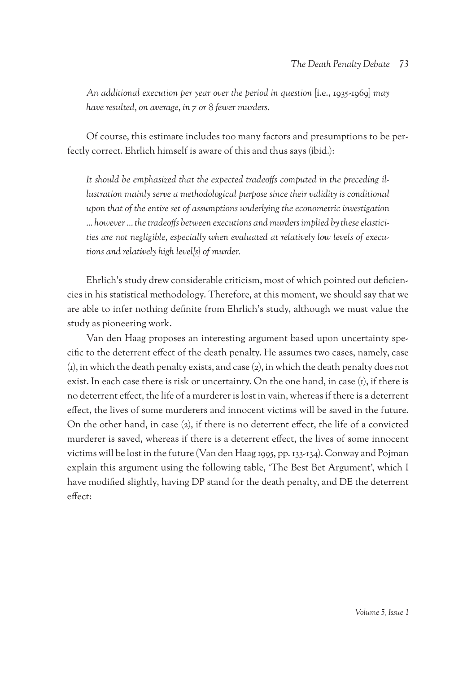*An additional execution per year over the period in question* [i.e., 1935-1969] *may have resulted, on average, in 7 or 8 fewer murders.*

Of course, this estimate includes too many factors and presumptions to be perfectly correct. Ehrlich himself is aware of this and thus says (ibid.):

*It should be emphasized that the expected tradeoffs computed in the preceding illustration mainly serve a methodological purpose since their validity is conditional upon that of the entire set of assumptions underlying the econometric investigation … however … the tradeoffs between executions and murders implied by these elasticities are not negligible, especially when evaluated at relatively low levels of executions and relatively high level[s] of murder.* 

Ehrlich's study drew considerable criticism, most of which pointed out deficiencies in his statistical methodology. Therefore, at this moment, we should say that we are able to infer nothing definite from Ehrlich's study, although we must value the study as pioneering work.

Van den Haag proposes an interesting argument based upon uncertainty specific to the deterrent effect of the death penalty. He assumes two cases, namely, case (1), in which the death penalty exists, and case (2), in which the death penalty does not exist. In each case there is risk or uncertainty. On the one hand, in case (1), if there is no deterrent effect, the life of a murderer is lost in vain, whereas if there is a deterrent effect, the lives of some murderers and innocent victims will be saved in the future. On the other hand, in case (2), if there is no deterrent effect, the life of a convicted murderer is saved, whereas if there is a deterrent effect, the lives of some innocent victims will be lost in the future (Van den Haag 1995, pp. 133-134). Conway and Pojman explain this argument using the following table, 'The Best Bet Argument', which I have modified slightly, having DP stand for the death penalty, and DE the deterrent effect: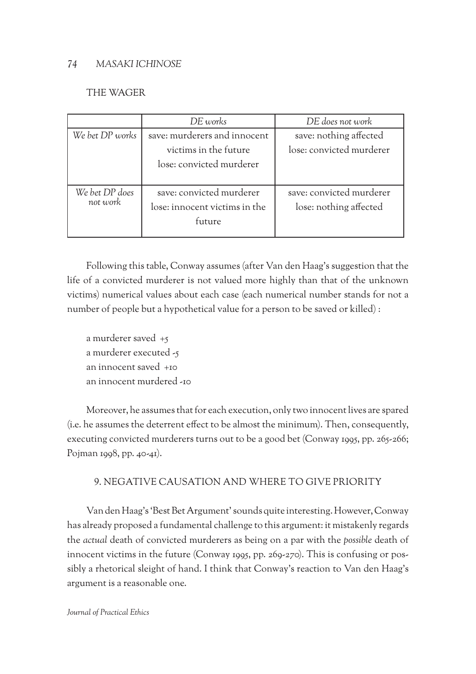## THE WAGER

|                            | DE works                      | DE does not work         |
|----------------------------|-------------------------------|--------------------------|
| We bet DP works            | save: murderers and innocent  | save: nothing affected   |
|                            | victims in the future         | lose: convicted murderer |
|                            | lose: convicted murderer      |                          |
|                            |                               |                          |
| We bet DP does<br>not work | save: convicted murderer      | save: convicted murderer |
|                            | lose: innocent victims in the | lose: nothing affected   |
|                            | future                        |                          |
|                            |                               |                          |

Following this table, Conway assumes (after Van den Haag's suggestion that the life of a convicted murderer is not valued more highly than that of the unknown victims) numerical values about each case (each numerical number stands for not a number of people but a hypothetical value for a person to be saved or killed) :

a murderer saved +5 a murderer executed -5 an innocent saved +10 an innocent murdered -10

Moreover, he assumes that for each execution, only two innocent lives are spared (i.e. he assumes the deterrent effect to be almost the minimum). Then, consequently, executing convicted murderers turns out to be a good bet (Conway 1995, pp. 265-266; Pojman 1998, pp. 40-41).

# 9. Negative causation and where to give priority

Van den Haag's 'Best Bet Argument' sounds quite interesting. However, Conway has already proposed a fundamental challenge to this argument: it mistakenly regards the *actual* death of convicted murderers as being on a par with the *possible* death of innocent victims in the future (Conway 1995, pp. 269-270). This is confusing or possibly a rhetorical sleight of hand. I think that Conway's reaction to Van den Haag's argument is a reasonable one.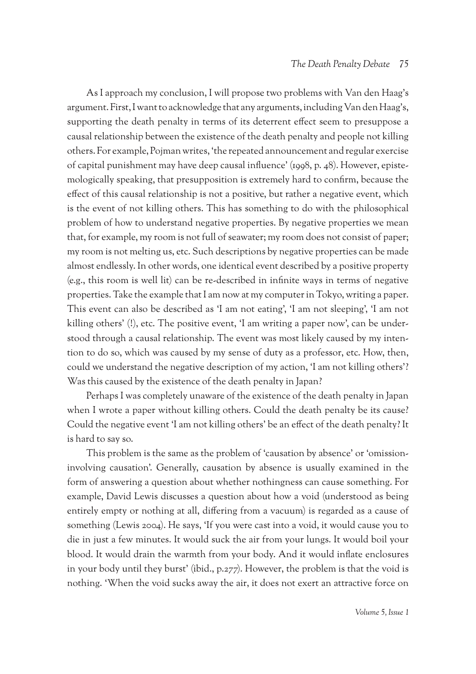As I approach my conclusion, I will propose two problems with Van den Haag's argument. First, I want to acknowledge that any arguments, including Van den Haag's, supporting the death penalty in terms of its deterrent effect seem to presuppose a causal relationship between the existence of the death penalty and people not killing others. For example, Pojman writes, 'the repeated announcement and regular exercise of capital punishment may have deep causal influence' (1998, p. 48). However, epistemologically speaking, that presupposition is extremely hard to confirm, because the effect of this causal relationship is not a positive, but rather a negative event, which is the event of not killing others. This has something to do with the philosophical problem of how to understand negative properties. By negative properties we mean that, for example, my room is not full of seawater; my room does not consist of paper; my room is not melting us, etc. Such descriptions by negative properties can be made almost endlessly. In other words, one identical event described by a positive property (e.g., this room is well lit) can be re-described in infinite ways in terms of negative properties. Take the example that I am now at my computer in Tokyo, writing a paper. This event can also be described as 'I am not eating', 'I am not sleeping', 'I am not killing others' (!), etc. The positive event, 'I am writing a paper now', can be understood through a causal relationship. The event was most likely caused by my intention to do so, which was caused by my sense of duty as a professor, etc. How, then, could we understand the negative description of my action, 'I am not killing others'? Was this caused by the existence of the death penalty in Japan?

Perhaps I was completely unaware of the existence of the death penalty in Japan when I wrote a paper without killing others. Could the death penalty be its cause? Could the negative event 'I am not killing others' be an effect of the death penalty? It is hard to say so.

This problem is the same as the problem of 'causation by absence' or 'omissioninvolving causation'. Generally, causation by absence is usually examined in the form of answering a question about whether nothingness can cause something. For example, David Lewis discusses a question about how a void (understood as being entirely empty or nothing at all, differing from a vacuum) is regarded as a cause of something (Lewis 2004). He says, 'If you were cast into a void, it would cause you to die in just a few minutes. It would suck the air from your lungs. It would boil your blood. It would drain the warmth from your body. And it would inflate enclosures in your body until they burst' (ibid., p.277). However, the problem is that the void is nothing. 'When the void sucks away the air, it does not exert an attractive force on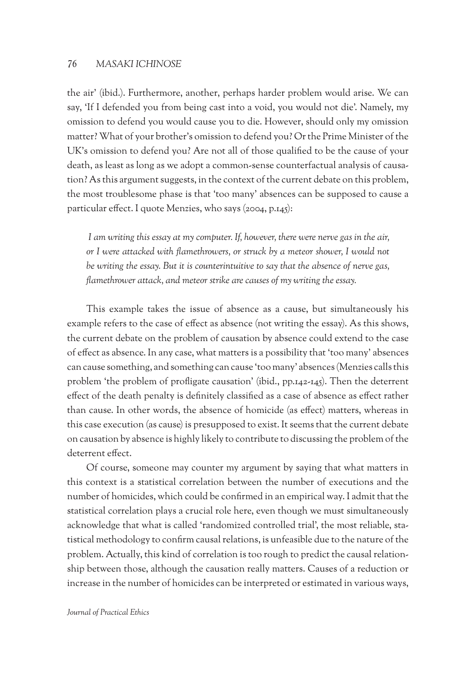the air' (ibid.). Furthermore, another, perhaps harder problem would arise. We can say, 'If I defended you from being cast into a void, you would not die'. Namely, my omission to defend you would cause you to die. However, should only my omission matter? What of your brother's omission to defend you? Or the Prime Minister of the UK's omission to defend you? Are not all of those qualified to be the cause of your death, as least as long as we adopt a common-sense counterfactual analysis of causation? As this argument suggests, in the context of the current debate on this problem, the most troublesome phase is that 'too many' absences can be supposed to cause a particular effect. I quote Menzies, who says (2004, p.145):

 *I am writing this essay at my computer. If, however, there were nerve gas in the air, or I were attacked with flamethrowers, or struck by a meteor shower, I would not be writing the essay. But it is counterintuitive to say that the absence of nerve gas, flamethrower attack, and meteor strike are causes of my writing the essay.* 

This example takes the issue of absence as a cause, but simultaneously his example refers to the case of effect as absence (not writing the essay). As this shows, the current debate on the problem of causation by absence could extend to the case of effect as absence. In any case, what matters is a possibility that 'too many' absences can cause something, and something can cause 'too many' absences (Menzies calls this problem 'the problem of profligate causation' (ibid., pp.142-145). Then the deterrent effect of the death penalty is definitely classified as a case of absence as effect rather than cause. In other words, the absence of homicide (as effect) matters, whereas in this case execution (as cause) is presupposed to exist. It seems that the current debate on causation by absence is highly likely to contribute to discussing the problem of the deterrent effect.

Of course, someone may counter my argument by saying that what matters in this context is a statistical correlation between the number of executions and the number of homicides, which could be confirmed in an empirical way. I admit that the statistical correlation plays a crucial role here, even though we must simultaneously acknowledge that what is called 'randomized controlled trial', the most reliable, statistical methodology to confirm causal relations, is unfeasible due to the nature of the problem. Actually, this kind of correlation is too rough to predict the causal relationship between those, although the causation really matters. Causes of a reduction or increase in the number of homicides can be interpreted or estimated in various ways,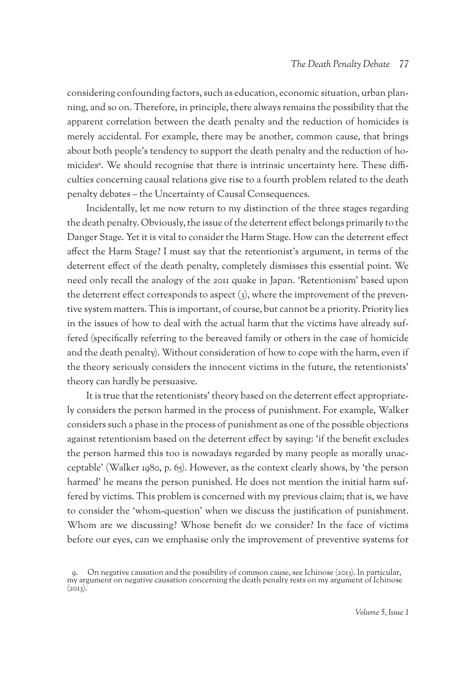considering confounding factors, such as education, economic situation, urban planning, and so on. Therefore, in principle, there always remains the possibility that the apparent correlation between the death penalty and the reduction of homicides is merely accidental. For example, there may be another, common cause, that brings about both people's tendency to support the death penalty and the reduction of homicides9 . We should recognise that there is intrinsic uncertainty here. These difficulties concerning causal relations give rise to a fourth problem related to the death penalty debates – the Uncertainty of Causal Consequences.

Incidentally, let me now return to my distinction of the three stages regarding the death penalty. Obviously, the issue of the deterrent effect belongs primarily to the Danger Stage. Yet it is vital to consider the Harm Stage. How can the deterrent effect affect the Harm Stage? I must say that the retentionist's argument, in terms of the deterrent effect of the death penalty, completely dismisses this essential point. We need only recall the analogy of the 2011 quake in Japan. 'Retentionism' based upon the deterrent effect corresponds to aspect (3), where the improvement of the preventive system matters. This is important, of course, but cannot be a priority. Priority lies in the issues of how to deal with the actual harm that the victims have already suffered (specifically referring to the bereaved family or others in the case of homicide and the death penalty). Without consideration of how to cope with the harm, even if the theory seriously considers the innocent victims in the future, the retentionists' theory can hardly be persuasive.

It is true that the retentionists' theory based on the deterrent effect appropriately considers the person harmed in the process of punishment. For example, Walker considers such a phase in the process of punishment as one of the possible objections against retentionism based on the deterrent effect by saying: 'if the benefit excludes the person harmed this too is nowadays regarded by many people as morally unacceptable' (Walker 1980, p. 65). However, as the context clearly shows, by 'the person harmed' he means the person punished. He does not mention the initial harm suffered by victims. This problem is concerned with my previous claim; that is, we have to consider the 'whom-question' when we discuss the justification of punishment. Whom are we discussing? Whose benefit do we consider? In the face of victims before our eyes, can we emphasise only the improvement of preventive systems for

<sup>9.</sup> On negative causation and the possibility of common cause, see Ichinose (2013). In particular, my argument on negative causation concerning the death penalty rests on my argument of Ichinose  $(2013).$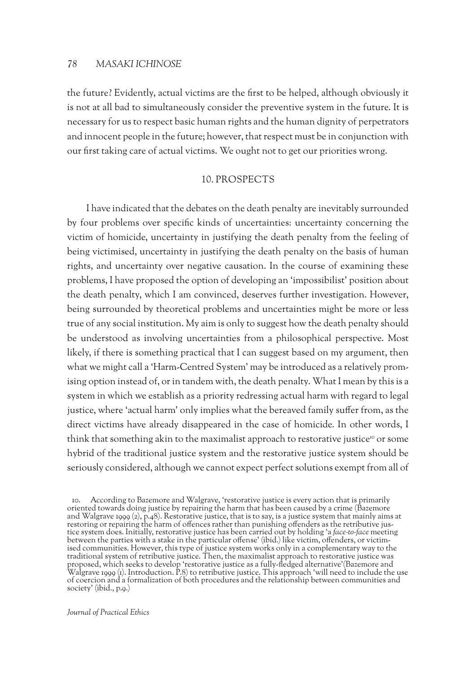the future? Evidently, actual victims are the first to be helped, although obviously it is not at all bad to simultaneously consider the preventive system in the future. It is necessary for us to respect basic human rights and the human dignity of perpetrators and innocent people in the future; however, that respect must be in conjunction with our first taking care of actual victims. We ought not to get our priorities wrong.

#### 10. Prospects

I have indicated that the debates on the death penalty are inevitably surrounded by four problems over specific kinds of uncertainties: uncertainty concerning the victim of homicide, uncertainty in justifying the death penalty from the feeling of being victimised, uncertainty in justifying the death penalty on the basis of human rights, and uncertainty over negative causation. In the course of examining these problems, I have proposed the option of developing an 'impossibilist' position about the death penalty, which I am convinced, deserves further investigation. However, being surrounded by theoretical problems and uncertainties might be more or less true of any social institution. My aim is only to suggest how the death penalty should be understood as involving uncertainties from a philosophical perspective. Most likely, if there is something practical that I can suggest based on my argument, then what we might call a 'Harm-Centred System' may be introduced as a relatively promising option instead of, or in tandem with, the death penalty. What I mean by this is a system in which we establish as a priority redressing actual harm with regard to legal justice, where 'actual harm' only implies what the bereaved family suffer from, as the direct victims have already disappeared in the case of homicide. In other words, I think that something akin to the maximalist approach to restorative justice<sup>10</sup> or some hybrid of the traditional justice system and the restorative justice system should be seriously considered, although we cannot expect perfect solutions exempt from all of

<sup>10.</sup> According to Bazemore and Walgrave, 'restorative justice is every action that is primarily oriented towards doing justice by repairing the harm that has been caused by a crime (Bazemore and Walgrave 1999 (2), p.48). Restorative justice, that is to say, is a justice system that mainly aims at restoring or repairing the harm of offences rather than punishing offenders as the retributive justice system does. Initially, restorative justice has been carried out by holding 'a *face-to-face* meeting between the parties with a stake in the particular offense' (ibid.) like victim, offenders, or victim- ised communities. However, this type of justice system works only in a complementary way to the traditional system of retributive justice. Then, the maximalist approach to restorative justice was proposed, which seeks to develop 'restorative justice as a fully-fledged alternative'(Bazemore and Proposed, which seems to develop restorming justice as a range measurement of Salemore and Walgrave 1999 (1). Introduction. P.8) to retributive justice. This approach 'will need to include the use of coercion and a formalization of both procedures and the relationship between communities and society' (ibid., p.9.)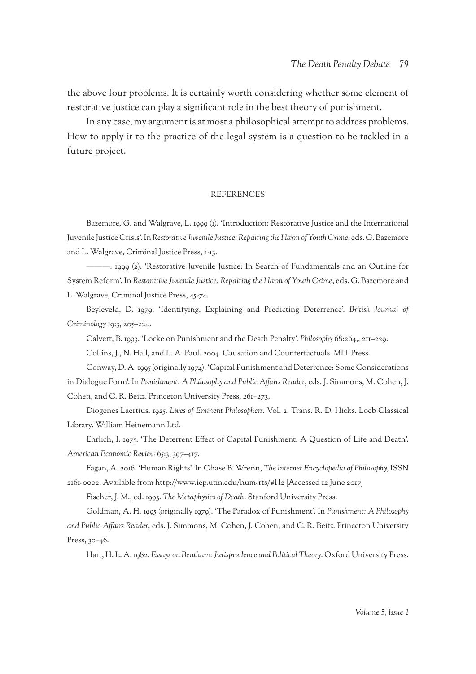the above four problems. It is certainly worth considering whether some element of restorative justice can play a significant role in the best theory of punishment.

In any case, my argument is at most a philosophical attempt to address problems. How to apply it to the practice of the legal system is a question to be tackled in a future project.

#### **REFERENCES**

Bazemore, G. and Walgrave, L. 1999 (1). 'Introduction: Restorative Justice and the International Juvenile Justice Crisis'. In *Restorative Juvenile Justice: Repairing the Harm of Youth Crime*, eds. G. Bazemore and L. Walgrave, Criminal Justice Press, 1-13.

———. 1999 (2). 'Restorative Juvenile Justice: In Search of Fundamentals and an Outline for System Reform'. In *Restorative Juvenile Justice: Repairing the Harm of Youth Crime*, eds. G. Bazemore and L. Walgrave, Criminal Justice Press, 45-74.

Beyleveld, D. 1979. 'Identifying, Explaining and Predicting Deterrence'. *British Journal of Criminology* 19:3, 205–224.

Calvert, B. 1993. 'Locke on Punishment and the Death Penalty'. *Philosophy* 68:264,, 211–229.

Collins, J., N. Hall, and L. A. Paul. 2004. Causation and Counterfactuals. MIT Press.

Conway, D. A. 1995 (originally 1974). 'Capital Punishment and Deterrence: Some Considerations in Dialogue Form'. In *Punishment: A Philosophy and Public Affairs Reader*, eds. J. Simmons, M. Cohen, J. Cohen, and C. R. Beitz. Princeton University Press, 261–273.

Diogenes Laertius. 1925. *Lives of Eminent Philosophers.* Vol. 2. Trans. R. D. Hicks. Loeb Classical Library. William Heinemann Ltd.

Ehrlich, I. 1975. 'The Deterrent Effect of Capital Punishment: A Question of Life and Death'. *American Economic Review* 65:3, 397–417.

Fagan, A. 2016. 'Human Rights'. In Chase B. Wrenn, *The Internet Encyclopedia of Philosophy,* ISSN 2161-0002. Available from http://www.iep.utm.edu/hum-rts/#H2 [Accessed 12 June 2017]

Fischer, J. M., ed. 1993. *The Metaphysics of Death*. Stanford University Press.

Goldman, A. H. 1995 (originally 1979). 'The Paradox of Punishment'. In *Punishment: A Philosophy and Public Affairs Reader*, eds. J. Simmons, M. Cohen, J. Cohen, and C. R. Beitz. Princeton University Press, 30–46.

Hart, H. L. A. 1982. *Essays on Bentham: Jurisprudence and Political Theory*. Oxford University Press.